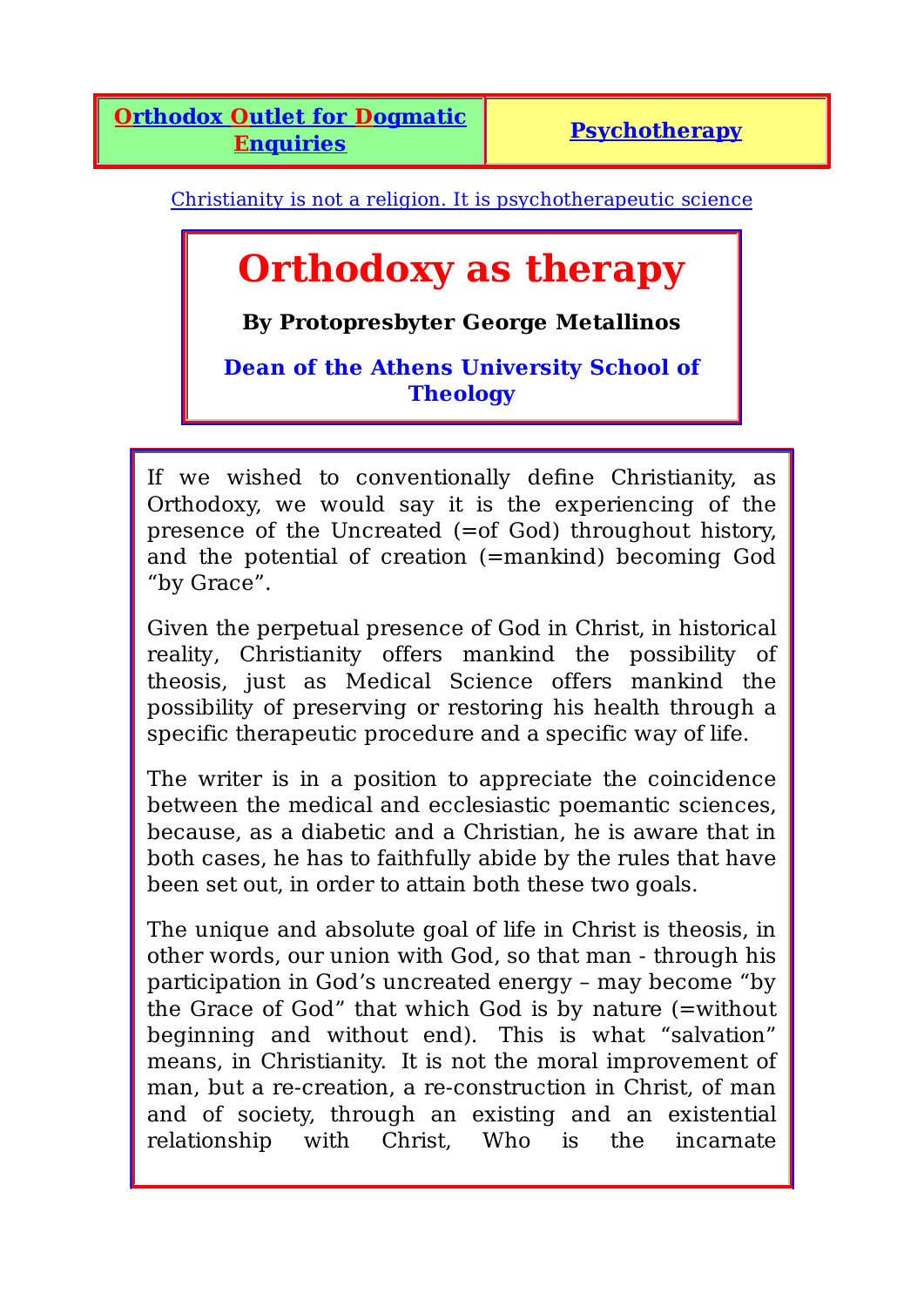Christianity is not a religion. It is psychotherapeutic science

# **Orthodoxy as therapy**

**By Protopresbyter George Metallinos**

**Dean of the Athens University School of Theology**

If we wished to conventionally define Christianity, as Orthodoxy, we would say it is the experiencing of the presence of the Uncreated (=of God) throughout history, and the potential of creation (=mankind) becoming God "by Grace".

Given the perpetual presence of God in Christ, in historical reality, Christianity offers mankind the possibility of theosis, just as Medical Science offers mankind the possibility of preserving or restoring his health through a specific therapeutic procedure and a specific way of life.

The writer is in a position to appreciate the coincidence between the medical and ecclesiastic poemantic sciences, because, as a diabetic and a Christian, he is aware that in both cases, he has to faithfully abide by the rules that have been set out, in order to attain both these two goals.

The unique and absolute goal of life in Christ is theosis, in other words, our union with God, so that man - through his participation in God's uncreated energy – may become "by the Grace of God" that which God is by nature (=without beginning and without end). This is what "salvation" means, in Christianity. It is not the moral improvement of man, but a re-creation, a re-construction in Christ, of man and of society, through an existing and an existential relationship with Christ, Who is the incarnate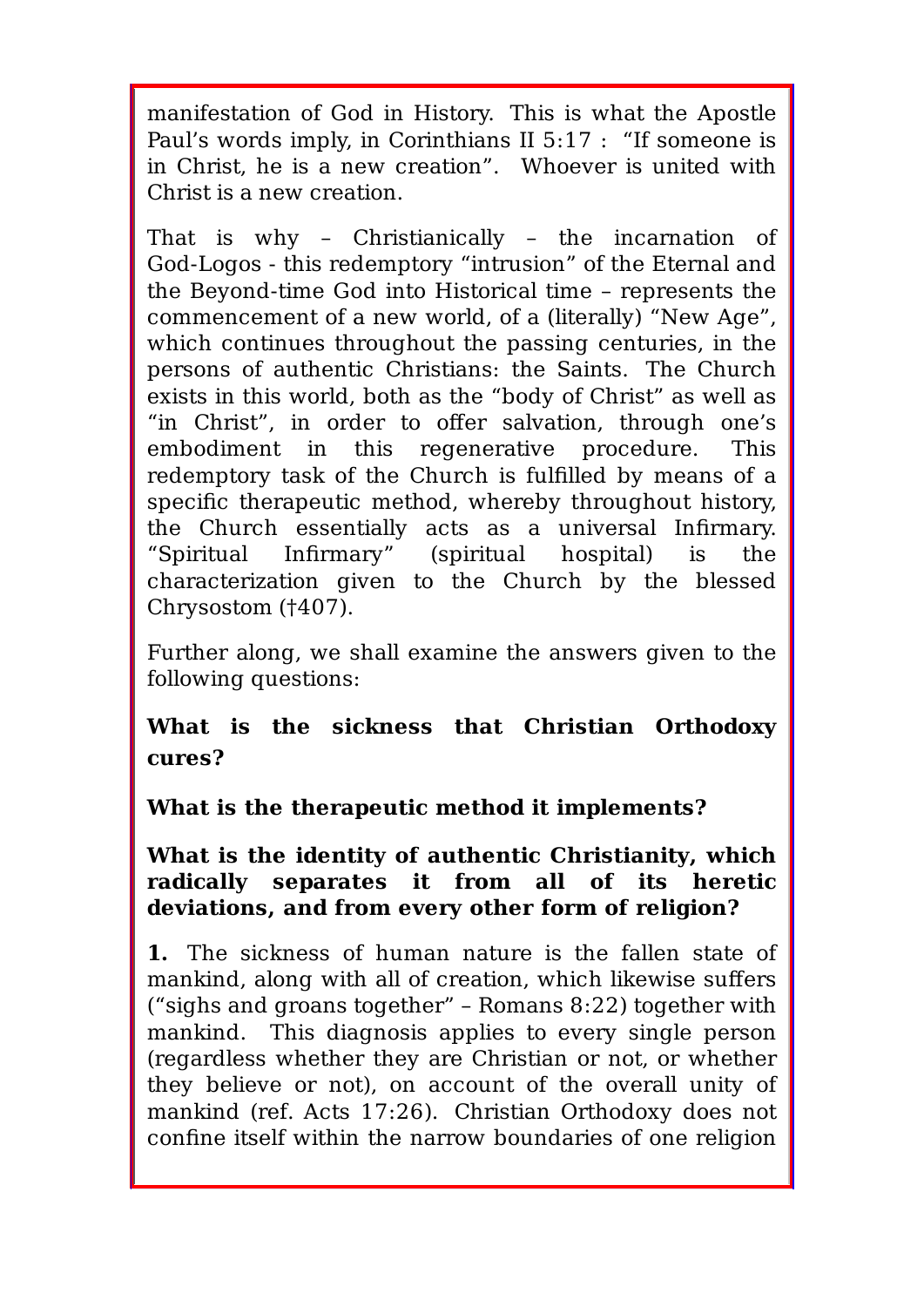manifestation of God in History. This is what the Apostle Paul's words imply, in Corinthians II 5:17 : "If someone is in Christ, he is a new creation". Whoever is united with Christ is a new creation.

That is why – Christianically – the incarnation of God-Logos - this redemptory "intrusion" of the Eternal and the Beyond-time God into Historical time – represents the commencement of a new world, of a (literally) "New Age", which continues throughout the passing centuries, in the persons of authentic Christians: the Saints. The Church exists in this world, both as the "body of Christ" as well as "in Christ", in order to offer salvation, through one's embodiment in this regenerative procedure. This redemptory task of the Church is fulfilled by means of a specific therapeutic method, whereby throughout history, the Church essentially acts as a universal Infirmary. "Spiritual Infirmary" (spiritual hospital) is the characterization given to the Church by the blessed Chrysostom (†407).

Further along, we shall examine the answers given to the following questions:

**What is the sickness that Christian Orthodoxy cures?**

**What is the therapeutic method it implements?**

#### **What is the identity of authentic Christianity, which radically separates it from all of its heretic deviations, and from every other form of religion?**

**1.** The sickness of human nature is the fallen state of mankind, along with all of creation, which likewise suffers ("sighs and groans together" – Romans 8:22) together with mankind. This diagnosis applies to every single person (regardless whether they are Christian or not, or whether they believe or not), on account of the overall unity of mankind (ref. Acts 17:26). Christian Orthodoxy does not confine itself within the narrow boundaries of one religion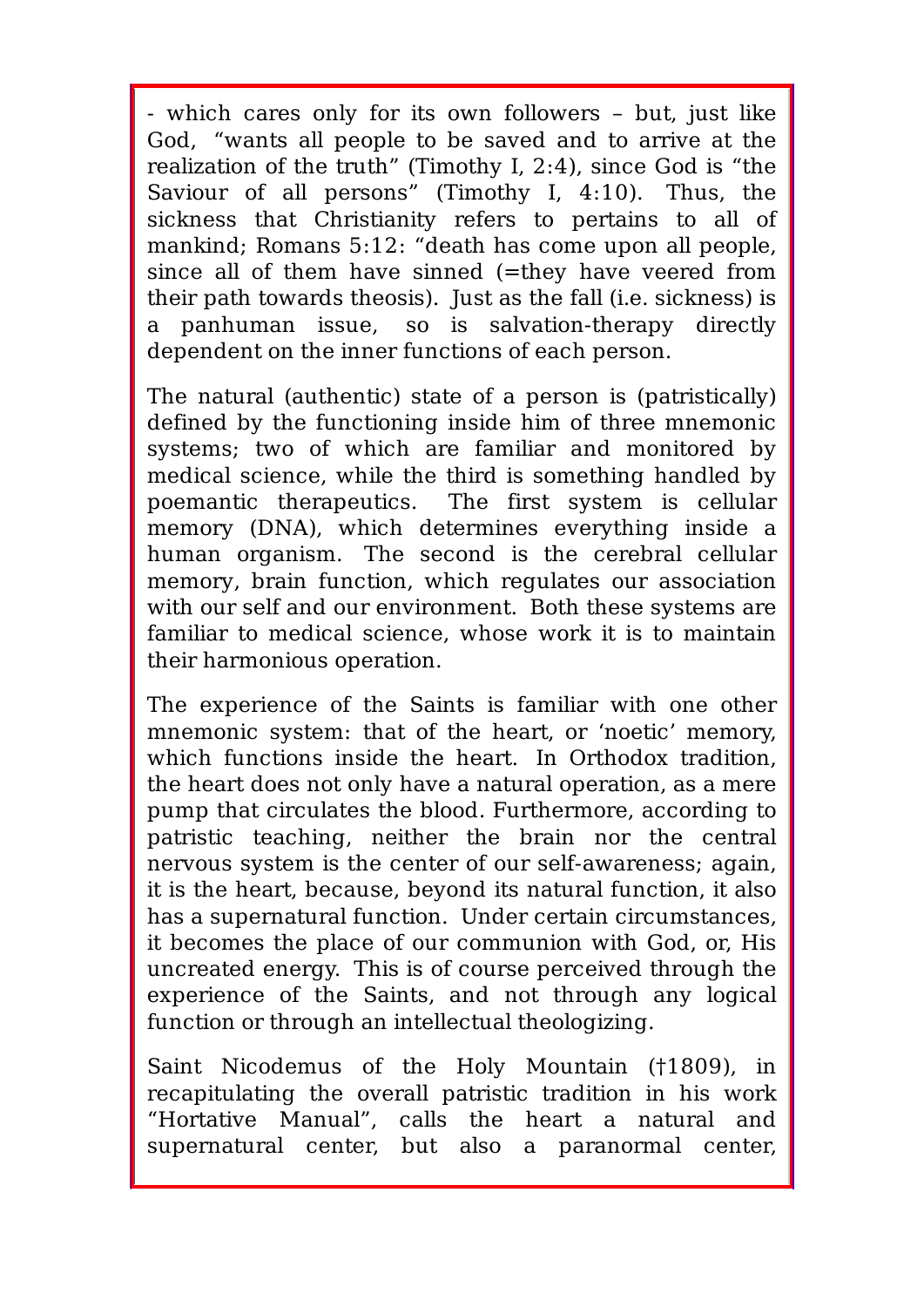- which cares only for its own followers – but, just like God, "wants all people to be saved and to arrive at the realization of the truth" (Timothy I, 2:4), since God is "the Saviour of all persons" (Timothy I, 4:10). Thus, the sickness that Christianity refers to pertains to all of mankind; Romans 5:12: "death has come upon all people, since all of them have sinned (=they have veered from their path towards theosis). Just as the fall (i.e. sickness) is a panhuman issue, so is salvation-therapy directly dependent on the inner functions of each person.

The natural (authentic) state of a person is (patristically) defined by the functioning inside him of three mnemonic systems; two of which are familiar and monitored by medical science, while the third is something handled by poemantic therapeutics. The first system is cellular memory (DNA), which determines everything inside a human organism. The second is the cerebral cellular memory, brain function, which regulates our association with our self and our environment. Both these systems are familiar to medical science, whose work it is to maintain their harmonious operation.

The experience of the Saints is familiar with one other mnemonic system: that of the heart, or 'noetic' memory, which functions inside the heart. In Orthodox tradition, the heart does not only have a natural operation, as a mere pump that circulates the blood. Furthermore, according to patristic teaching, neither the brain nor the central nervous system is the center of our self-awareness; again, it is the heart, because, beyond its natural function, it also has a supernatural function. Under certain circumstances, it becomes the place of our communion with God, or, His uncreated energy. This is of course perceived through the experience of the Saints, and not through any logical function or through an intellectual theologizing.

Saint Nicodemus of the Holy Mountain (†1809), in recapitulating the overall patristic tradition in his work "Hortative Manual", calls the heart a natural and supernatural center, but also a paranormal center,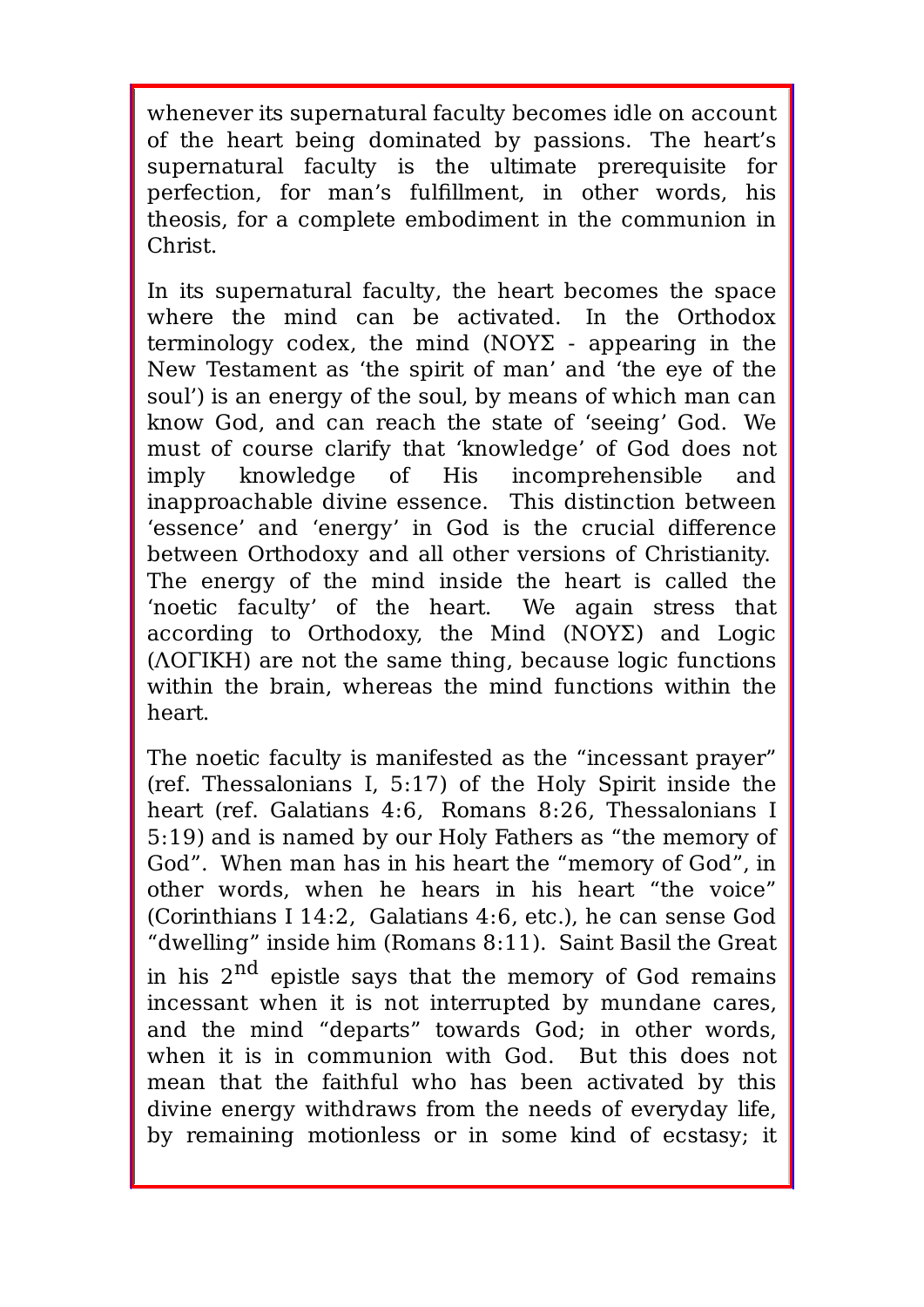whenever its supernatural faculty becomes idle on account of the heart being dominated by passions. The heart's supernatural faculty is the ultimate prerequisite for perfection, for man's fulfillment, in other words, his theosis, for a complete embodiment in the communion in Christ.

In its supernatural faculty, the heart becomes the space where the mind can be activated. In the Orthodox terminology codex, the mind (ΝΟΥΣ - appearing in the New Testament as 'the spirit of man' and 'the eye of the soul') is an energy of the soul, by means of which man can know God, and can reach the state of 'seeing' God. We must of course clarify that 'knowledge' of God does not imply knowledge of His incomprehensible and inapproachable divine essence. This distinction between 'essence' and 'energy' in God is the crucial difference between Orthodoxy and all other versions of Christianity. The energy of the mind inside the heart is called the 'noetic faculty' of the heart. We again stress that according to Orthodoxy, the Mind (ΝΟΥΣ) and Logic (ΛΟΓΙΚΗ) are not the same thing, because logic functions within the brain, whereas the mind functions within the heart.

The noetic faculty is manifested as the "incessant prayer" (ref. Thessalonians I, 5:17) of the Holy Spirit inside the heart (ref. Galatians 4:6, Romans 8:26, Thessalonians I 5:19) and is named by our Holy Fathers as "the memory of God". When man has in his heart the "memory of God", in other words, when he hears in his heart "the voice" (Corinthians I 14:2, Galatians 4:6, etc.), he can sense God "dwelling" inside him (Romans 8:11). Saint Basil the Great in his  $2^{nd}$  epistle says that the memory of God remains incessant when it is not interrupted by mundane cares, and the mind "departs" towards God; in other words, when it is in communion with God. But this does not mean that the faithful who has been activated by this divine energy withdraws from the needs of everyday life, by remaining motionless or in some kind of ecstasy; it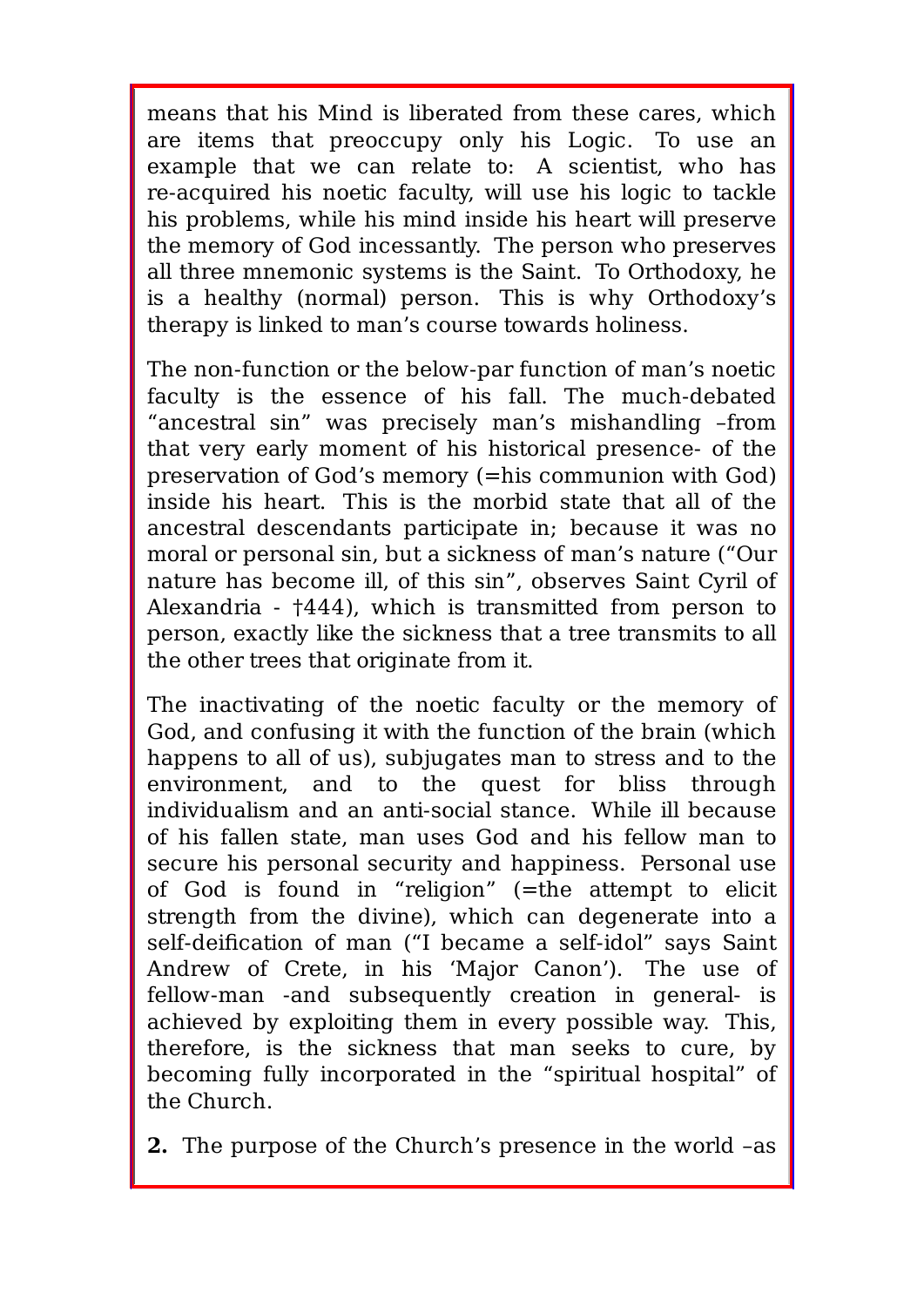means that his Mind is liberated from these cares, which are items that preoccupy only his Logic. To use an example that we can relate to: A scientist, who has re-acquired his noetic faculty, will use his logic to tackle his problems, while his mind inside his heart will preserve the memory of God incessantly. The person who preserves all three mnemonic systems is the Saint. To Orthodoxy, he is a healthy (normal) person. This is why Orthodoxy's therapy is linked to man's course towards holiness.

The non-function or the below-par function of man's noetic faculty is the essence of his fall. The much-debated "ancestral sin" was precisely man's mishandling –from that very early moment of his historical presence- of the preservation of God's memory (=his communion with God) inside his heart. This is the morbid state that all of the ancestral descendants participate in; because it was no moral or personal sin, but a sickness of man's nature ("Our nature has become ill, of this sin", observes Saint Cyril of Alexandria - †444), which is transmitted from person to person, exactly like the sickness that a tree transmits to all the other trees that originate from it.

The inactivating of the noetic faculty or the memory of God, and confusing it with the function of the brain (which happens to all of us), subjugates man to stress and to the environment, and to the quest for bliss through individualism and an anti-social stance. While ill because of his fallen state, man uses God and his fellow man to secure his personal security and happiness. Personal use of God is found in "religion" (=the attempt to elicit strength from the divine), which can degenerate into a self-deification of man ("I became a self-idol" says Saint Andrew of Crete, in his 'Major Canon'). The use of fellow-man -and subsequently creation in general- is achieved by exploiting them in every possible way. This, therefore, is the sickness that man seeks to cure, by becoming fully incorporated in the "spiritual hospital" of the Church.

**2.** The purpose of the Church's presence in the world –as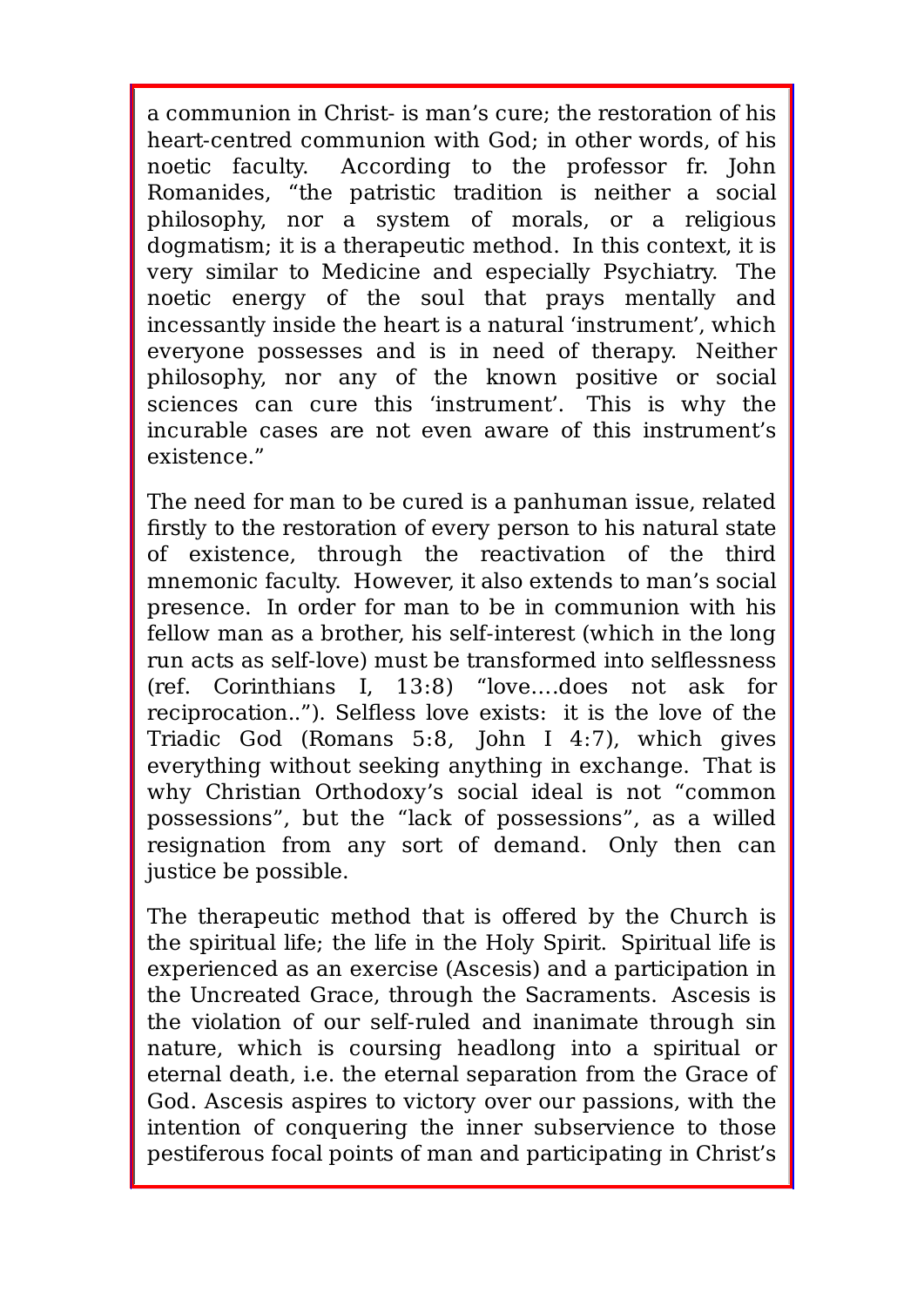a communion in Christ- is man's cure; the restoration of his heart-centred communion with God; in other words, of his noetic faculty. According to the professor fr. John Romanides, "the patristic tradition is neither a social philosophy, nor a system of morals, or a religious dogmatism; it is a therapeutic method. In this context, it is very similar to Medicine and especially Psychiatry. The noetic energy of the soul that prays mentally and incessantly inside the heart is a natural 'instrument', which everyone possesses and is in need of therapy. Neither philosophy, nor any of the known positive or social sciences can cure this 'instrument'. This is why the incurable cases are not even aware of this instrument's existence."

The need for man to be cured is a panhuman issue, related firstly to the restoration of every person to his natural state of existence, through the reactivation of the third mnemonic faculty. However, it also extends to man's social presence. In order for man to be in communion with his fellow man as a brother, his self-interest (which in the long run acts as self-love) must be transformed into selflessness (ref. Corinthians I, 13:8) "love….does not ask for reciprocation.."). Selfless love exists: it is the love of the Triadic God (Romans 5:8, John I 4:7), which gives everything without seeking anything in exchange. That is why Christian Orthodoxy's social ideal is not "common possessions", but the "lack of possessions", as a willed resignation from any sort of demand. Only then can justice be possible.

The therapeutic method that is offered by the Church is the spiritual life; the life in the Holy Spirit. Spiritual life is experienced as an exercise (Ascesis) and a participation in the Uncreated Grace, through the Sacraments. Ascesis is the violation of our self-ruled and inanimate through sin nature, which is coursing headlong into a spiritual or eternal death, i.e. the eternal separation from the Grace of God. Ascesis aspires to victory over our passions, with the intention of conquering the inner subservience to those pestiferous focal points of man and participating in Christ's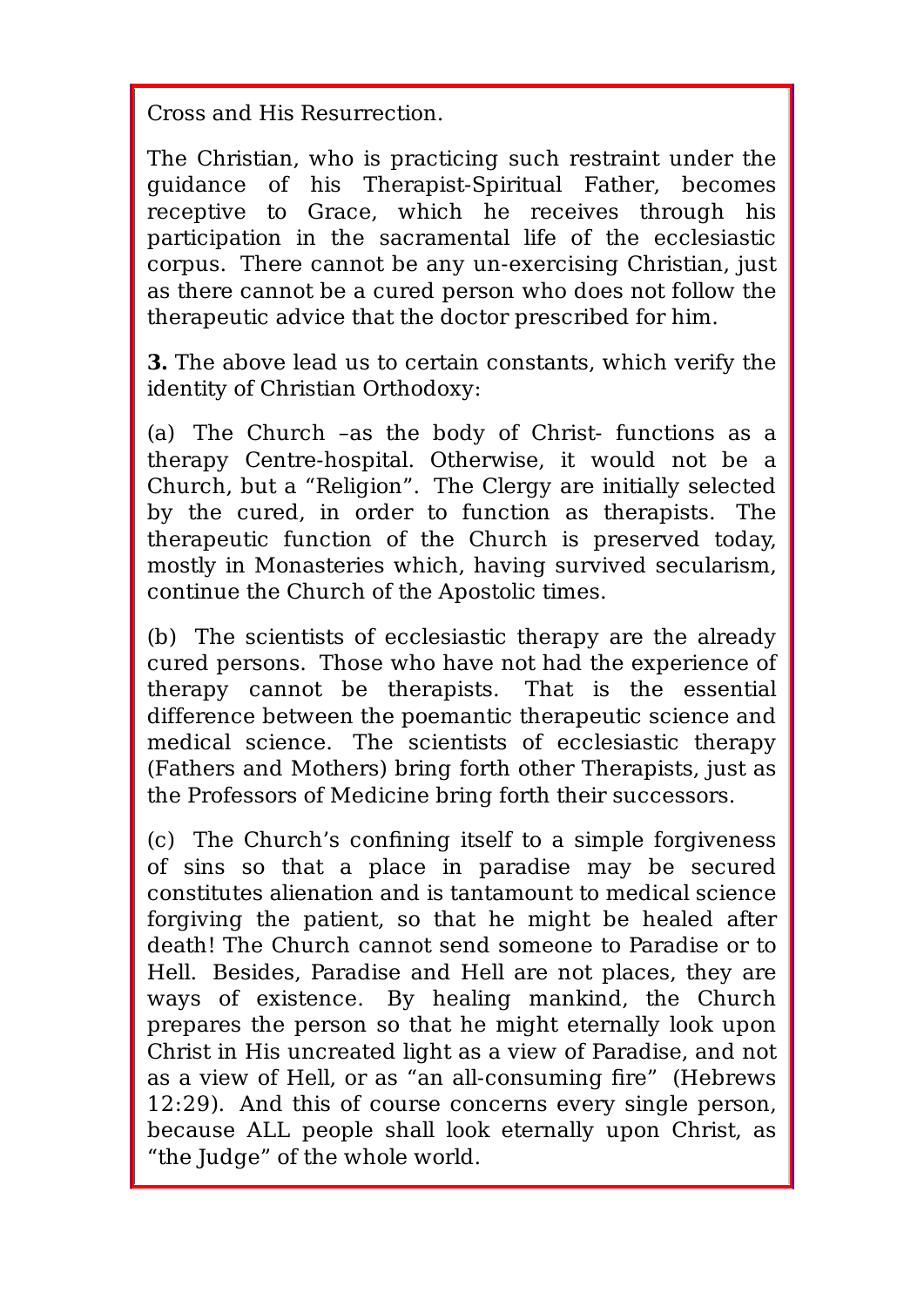Cross and His Resurrection.

The Christian, who is practicing such restraint under the guidance of his Therapist-Spiritual Father, becomes receptive to Grace, which he receives through his participation in the sacramental life of the ecclesiastic corpus. There cannot be any un-exercising Christian, just as there cannot be a cured person who does not follow the therapeutic advice that the doctor prescribed for him.

**3.** The above lead us to certain constants, which verify the identity of Christian Orthodoxy:

(a) The Church –as the body of Christ- functions as a therapy Centre-hospital. Otherwise, it would not be a Church, but a "Religion". The Clergy are initially selected by the cured, in order to function as therapists. The therapeutic function of the Church is preserved today, mostly in Monasteries which, having survived secularism, continue the Church of the Apostolic times.

(b) The scientists of ecclesiastic therapy are the already cured persons. Those who have not had the experience of therapy cannot be therapists. That is the essential difference between the poemantic therapeutic science and medical science. The scientists of ecclesiastic therapy (Fathers and Mothers) bring forth other Therapists, just as the Professors of Medicine bring forth their successors.

(c) The Church's confining itself to a simple forgiveness of sins so that a place in paradise may be secured constitutes alienation and is tantamount to medical science forgiving the patient, so that he might be healed after death! The Church cannot send someone to Paradise or to Hell. Besides, Paradise and Hell are not places, they are ways of existence. By healing mankind, the Church prepares the person so that he might eternally look upon Christ in His uncreated light as a view of Paradise, and not as a view of Hell, or as "an all-consuming fire" (Hebrews 12:29). And this of course concerns every single person, because ALL people shall look eternally upon Christ, as "the Judge" of the whole world.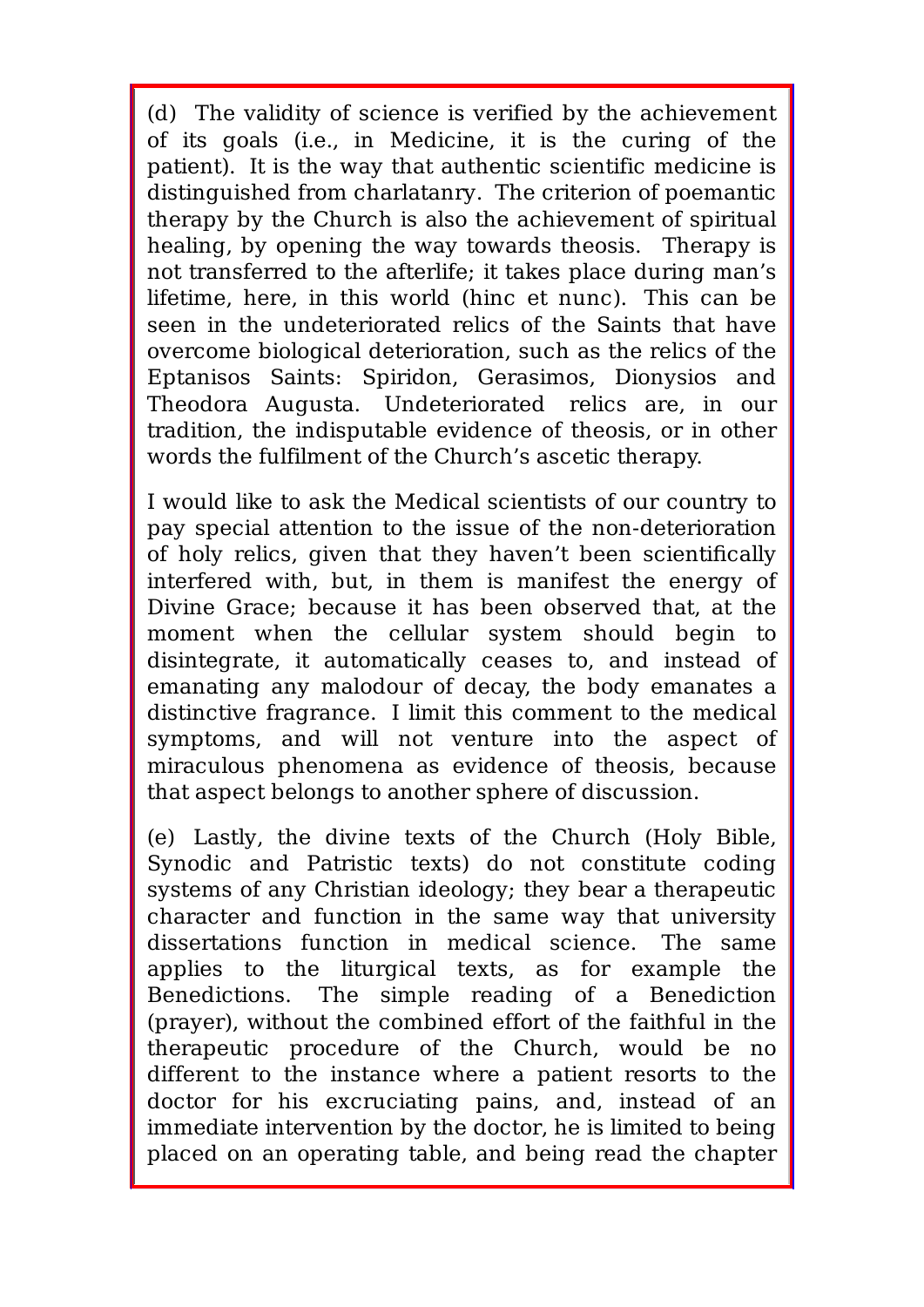(d) The validity of science is verified by the achievement of its goals (i.e., in Medicine, it is the curing of the patient). It is the way that authentic scientific medicine is distinguished from charlatanry. The criterion of poemantic therapy by the Church is also the achievement of spiritual healing, by opening the way towards theosis. Therapy is not transferred to the afterlife; it takes place during man's lifetime, here, in this world (hinc et nunc). This can be seen in the undeteriorated relics of the Saints that have overcome biological deterioration, such as the relics of the Eptanisos Saints: Spiridon, Gerasimos, Dionysios and Theodora Augusta. Undeteriorated relics are, in our tradition, the indisputable evidence of theosis, or in other words the fulfilment of the Church's ascetic therapy.

I would like to ask the Medical scientists of our country to pay special attention to the issue of the non-deterioration of holy relics, given that they haven't been scientifically interfered with, but, in them is manifest the energy of Divine Grace; because it has been observed that, at the moment when the cellular system should begin to disintegrate, it automatically ceases to, and instead of emanating any malodour of decay, the body emanates a distinctive fragrance. I limit this comment to the medical symptoms, and will not venture into the aspect of miraculous phenomena as evidence of theosis, because that aspect belongs to another sphere of discussion.

(e) Lastly, the divine texts of the Church (Holy Bible, Synodic and Patristic texts) do not constitute coding systems of any Christian ideology; they bear a therapeutic character and function in the same way that university dissertations function in medical science. The same applies to the liturgical texts, as for example the Benedictions. The simple reading of a Benediction (prayer), without the combined effort of the faithful in the therapeutic procedure of the Church, would be no different to the instance where a patient resorts to the doctor for his excruciating pains, and, instead of an immediate intervention by the doctor, he is limited to being placed on an operating table, and being read the chapter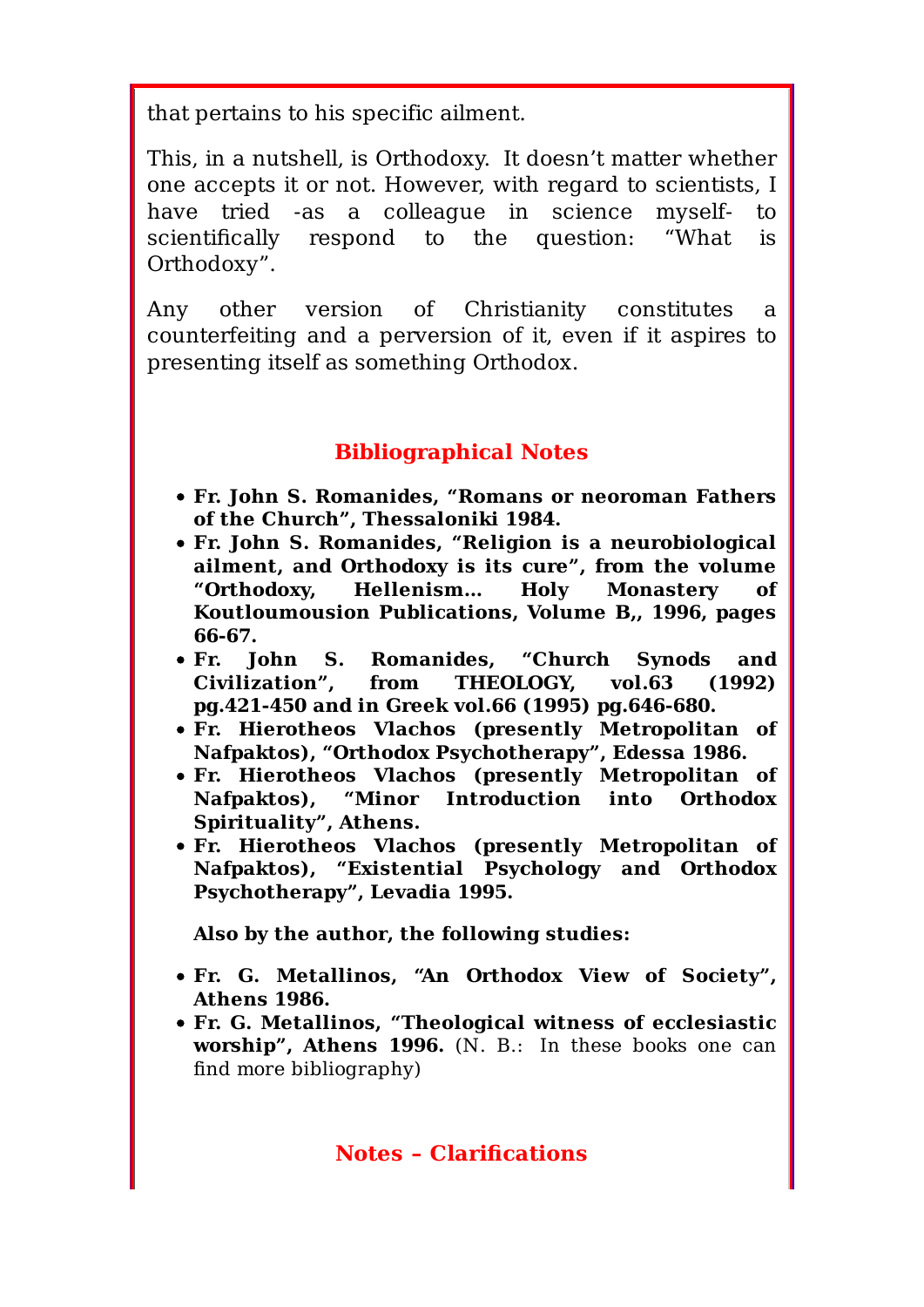that pertains to his specific ailment.

This, in a nutshell, is Orthodoxy. It doesn't matter whether one accepts it or not. However, with regard to scientists, I have tried -as a colleague in science myself- to scientifically respond to the question: "What is Orthodoxy".

Any other version of Christianity constitutes a counterfeiting and a perversion of it, even if it aspires to presenting itself as something Orthodox.

### **Bibliographical Notes**

- **Fr. John S. Romanides, "Romans or neoroman Fathers of the Church", Thessaloniki 1984.**
- **Fr. John S. Romanides, "Religion is a neurobiological ailment, and Orthodoxy is its cure", from the volume "Orthodoxy, Hellenism… Holy Monastery of Koutloumousion Publications, Volume B,, 1996, pages 66-67.**
- **Fr. John S. Romanides, "Church Synods and Civilization", from THEOLOGY, vol.63 (1992) pg.421-450 and in Greek vol.66 (1995) pg.646-680.**
- **Fr. Hierotheos Vlachos (presently Metropolitan of Nafpaktos), "Orthodox Psychotherapy", Edessa 1986.**
- **Fr. Hierotheos Vlachos (presently Metropolitan of Nafpaktos), "Minor Introduction into Orthodox Spirituality", Athens.**
- **Fr. Hierotheos Vlachos (presently Metropolitan of Nafpaktos), "Existential Psychology and Orthodox Psychotherapy", Levadia 1995.**

**Also by the author, the following studies:**

- **Fr. G. Metallinos, "An Orthodox View of Society", Athens 1986.**
- **Fr. G. Metallinos, "Theological witness of ecclesiastic worship", Athens 1996.** (N. B.: In these books one can find more bibliography)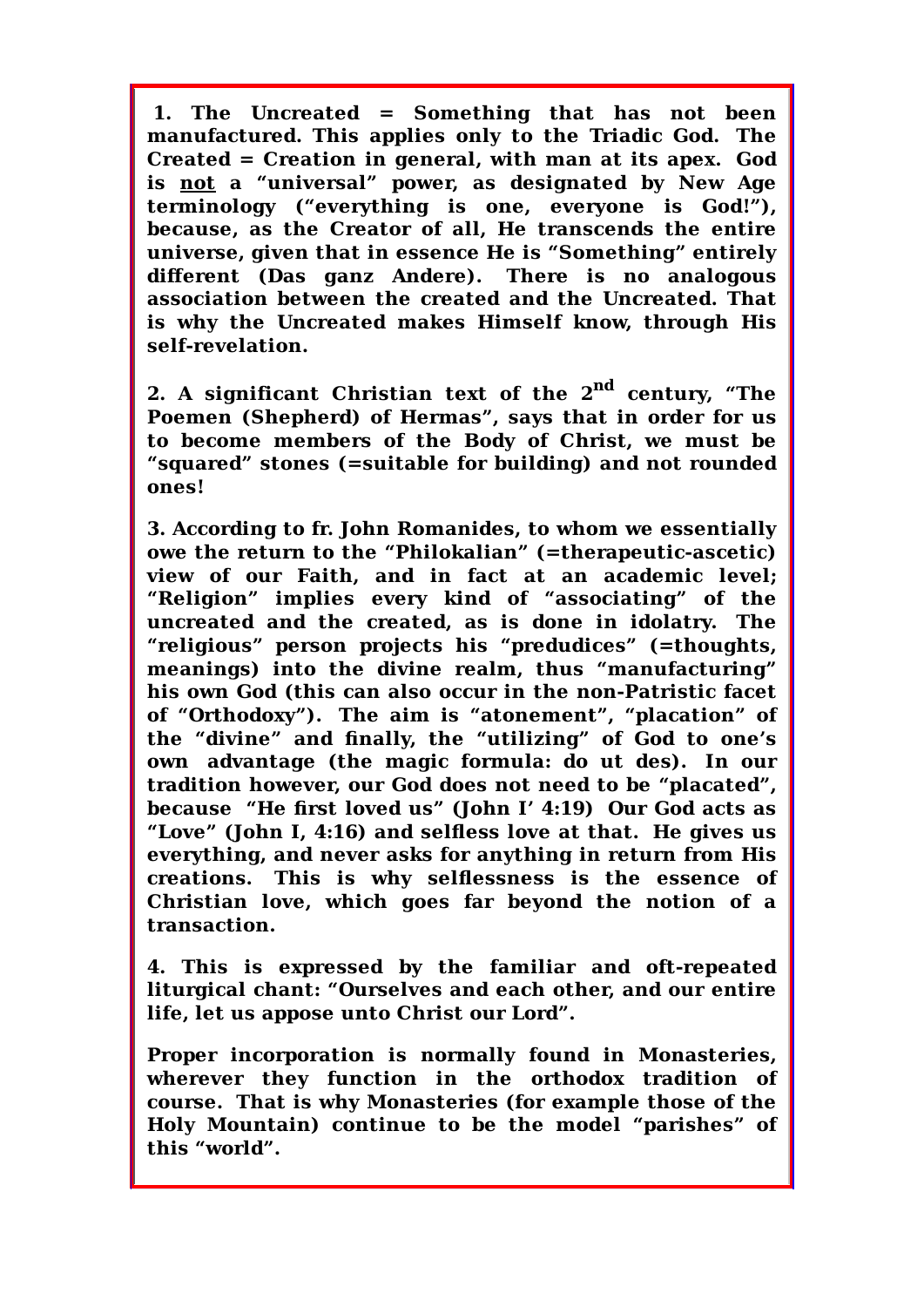**1. The Uncreated = Something that has not been manufactured. This applies only to the Triadic God. The Created = Creation in general, with man at its apex. God is not a "universal" power, as designated by New Age terminology ("everything is one, everyone is God!"), because, as the Creator of all, He transcends the entire universe, given that in essence He is "Something" entirely different (Das ganz Andere). There is no analogous association between the created and the Uncreated. That is why the Uncreated makes Himself know, through His self-revelation.**

**2. A significant Christian text of the 2nd century, "The Poemen (Shepherd) of Hermas", says that in order for us to become members of the Body of Christ, we must be "squared" stones (=suitable for building) and not rounded ones!**

**3. According to fr. John Romanides, to whom we essentially owe the return to the "Philokalian" (=therapeutic-ascetic) view of our Faith, and in fact at an academic level; "Religion" implies every kind of "associating" of the uncreated and the created, as is done in idolatry. The "religious" person projects his "predudices" (=thoughts, meanings) into the divine realm, thus "manufacturing" his own God (this can also occur in the non-Patristic facet of "Orthodoxy"). The aim is "atonement", "placation" of the "divine" and finally, the "utilizing" of God to one's own advantage (the magic formula: do ut des). In our tradition however, our God does not need to be "placated", because "He first loved us" (John I' 4:19) Our God acts as "Love" (John I, 4:16) and selfless love at that. He gives us everything, and never asks for anything in return from His creations. This is why selflessness is the essence of Christian love, which goes far beyond the notion of a transaction.**

**4. This is expressed by the familiar and oft-repeated liturgical chant: "Ourselves and each other, and our entire life, let us appose unto Christ our Lord".**

**Proper incorporation is normally found in Monasteries, wherever they function in the orthodox tradition of course. That is why Monasteries (for example those of the Holy Mountain) continue to be the model "parishes" of this "world".**